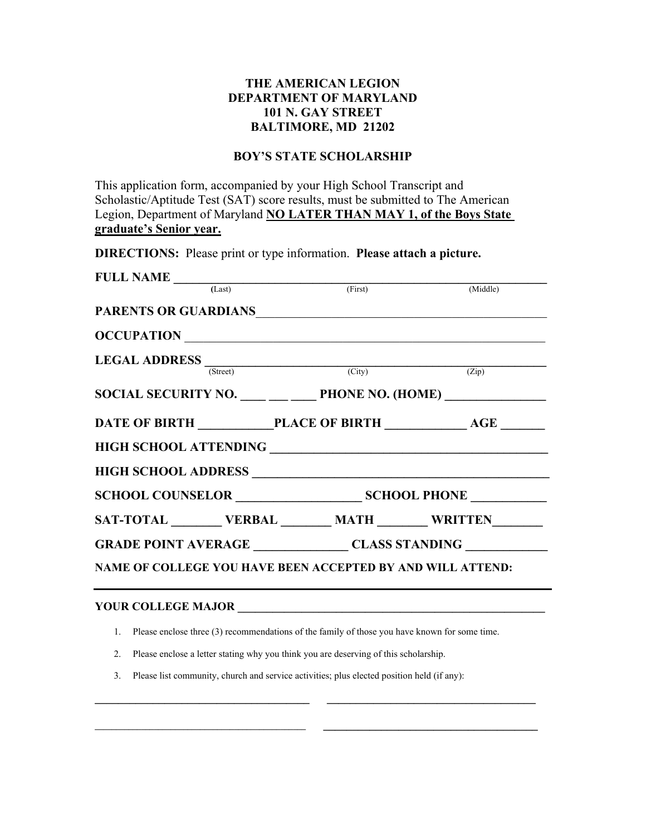## **THE AMERICAN LEGION DEPARTMENT OF MARYLAND 101 N. GAY STREET BALTIMORE, MD 21202**

## **BOY'S STATE SCHOLARSHIP**

This application form, accompanied by your High School Transcript and Scholastic/Aptitude Test (SAT) score results, must be submitted to The American Legion, Department of Maryland **NO LATER THAN MAY 1, of the Boys State graduate's Senior year.**

**DIRECTIONS:** Please print or type information. **Please attach a picture.** 

| $\n  FULL NAME \n$ (Last)                                  | (First) (Middle)              |                                    |  |
|------------------------------------------------------------|-------------------------------|------------------------------------|--|
| <b>PARENTS OR GUARDIANS</b>                                |                               |                                    |  |
| OCCUPATION                                                 |                               |                                    |  |
| <b>LEGAL ADDRESS</b> (Street) (City) (City) (Zip)          |                               |                                    |  |
|                                                            |                               |                                    |  |
| SOCIAL SECURITY NO. PHONE NO. (HOME)                       |                               |                                    |  |
| DATE OF BIRTH PLACE OF BIRTH AGE                           |                               |                                    |  |
|                                                            |                               |                                    |  |
|                                                            |                               |                                    |  |
|                                                            | SCHOOL COUNSELOR SCHOOL PHONE |                                    |  |
| SAT-TOTAL VERBAL MATH WRITTEN                              |                               |                                    |  |
|                                                            |                               | GRADE POINT AVERAGE CLASS STANDING |  |
| NAME OF COLLEGE YOU HAVE BEEN ACCEPTED BY AND WILL ATTEND: |                               |                                    |  |
|                                                            |                               |                                    |  |

## **YOUR COLLEGE MAJOR**

1. Please enclose three (3) recommendations of the family of those you have known for some time.

**\_\_\_\_\_\_\_\_\_\_\_\_\_\_\_\_\_\_\_\_\_\_\_\_\_\_\_\_\_\_\_\_\_\_\_\_\_ \_\_\_\_\_\_\_\_\_\_\_\_\_\_\_\_\_\_\_\_\_\_\_\_\_\_\_\_\_\_\_\_\_\_\_\_** 

**\_\_\_\_\_\_\_\_\_\_\_\_\_\_\_\_\_\_\_\_\_\_\_\_\_\_\_\_\_\_\_\_\_\_\_\_\_\_\_\_\_\_\_\_\_\_\_\_\_\_ \_\_\_\_\_\_\_\_\_\_\_\_\_\_\_\_\_\_\_\_\_\_\_\_\_\_\_\_\_\_\_\_\_\_\_\_\_** 

- 2. Please enclose a letter stating why you think you are deserving of this scholarship.
- 3. Please list community, church and service activities; plus elected position held (if any):